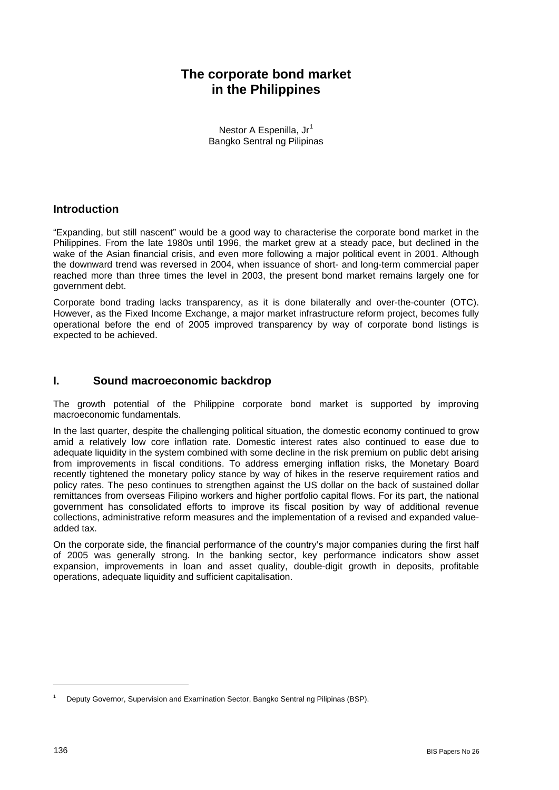# **The corporate bond market in the Philippines**

Nestor A Espenilla,  $Jr^1$  $Jr^1$ Bangko Sentral ng Pilipinas

# **Introduction**

"Expanding, but still nascent" would be a good way to characterise the corporate bond market in the Philippines. From the late 1980s until 1996, the market grew at a steady pace, but declined in the wake of the Asian financial crisis, and even more following a major political event in 2001. Although the downward trend was reversed in 2004, when issuance of short- and long-term commercial paper reached more than three times the level in 2003, the present bond market remains largely one for government debt.

Corporate bond trading lacks transparency, as it is done bilaterally and over-the-counter (OTC). However, as the Fixed Income Exchange, a major market infrastructure reform project, becomes fully operational before the end of 2005 improved transparency by way of corporate bond listings is expected to be achieved.

# **I. Sound macroeconomic backdrop**

The growth potential of the Philippine corporate bond market is supported by improving macroeconomic fundamentals.

In the last quarter, despite the challenging political situation, the domestic economy continued to grow amid a relatively low core inflation rate. Domestic interest rates also continued to ease due to adequate liquidity in the system combined with some decline in the risk premium on public debt arising from improvements in fiscal conditions. To address emerging inflation risks, the Monetary Board recently tightened the monetary policy stance by way of hikes in the reserve requirement ratios and policy rates. The peso continues to strengthen against the US dollar on the back of sustained dollar remittances from overseas Filipino workers and higher portfolio capital flows. For its part, the national government has consolidated efforts to improve its fiscal position by way of additional revenue collections, administrative reform measures and the implementation of a revised and expanded valueadded tax.

On the corporate side, the financial performance of the country's major companies during the first half of 2005 was generally strong. In the banking sector, key performance indicators show asset expansion, improvements in loan and asset quality, double-digit growth in deposits, profitable operations, adequate liquidity and sufficient capitalisation.

l

<span id="page-0-0"></span><sup>1</sup> Deputy Governor, Supervision and Examination Sector, Bangko Sentral ng Pilipinas (BSP).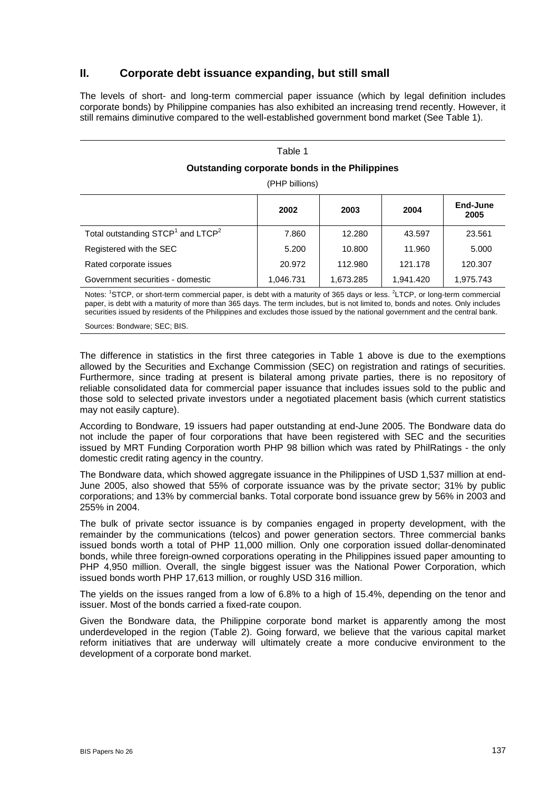# **II. Corporate debt issuance expanding, but still small**

The levels of short- and long-term commercial paper issuance (which by legal definition includes corporate bonds) by Philippine companies has also exhibited an increasing trend recently. However, it still remains diminutive compared to the well-established government bond market (See Table 1).

# Table 1

#### **Outstanding corporate bonds in the Philippines**

(PHP billions)

|                                                           | 2002      | 2003      | 2004      | End-June<br>2005 |
|-----------------------------------------------------------|-----------|-----------|-----------|------------------|
| Total outstanding STCP <sup>1</sup> and LTCP <sup>2</sup> | 7.860     | 12.280    | 43.597    | 23.561           |
| Registered with the SEC                                   | 5.200     | 10.800    | 11.960    | 5.000            |
| Rated corporate issues                                    | 20.972    | 112.980   | 121.178   | 120.307          |
| Government securities - domestic                          | 1.046.731 | 1.673.285 | 1.941.420 | 1.975.743        |

Notes: <sup>1</sup>STCP, or short-term commercial paper, is debt with a maturity of 365 days or less. <sup>2</sup>LTCP, or long-term commercial paper, is debt with a maturity of more than 365 days. The term includes, but is not limited to, bonds and notes. Only includes securities issued by residents of the Philippines and excludes those issued by the national government and the central bank.

Sources: Bondware; SEC; BIS.

The difference in statistics in the first three categories in Table 1 above is due to the exemptions allowed by the Securities and Exchange Commission (SEC) on registration and ratings of securities. Furthermore, since trading at present is bilateral among private parties, there is no repository of reliable consolidated data for commercial paper issuance that includes issues sold to the public and those sold to selected private investors under a negotiated placement basis (which current statistics may not easily capture).

According to Bondware, 19 issuers had paper outstanding at end-June 2005. The Bondware data do not include the paper of four corporations that have been registered with SEC and the securities issued by MRT Funding Corporation worth PHP 98 billion which was rated by PhilRatings - the only domestic credit rating agency in the country.

The Bondware data, which showed aggregate issuance in the Philippines of USD 1,537 million at end-June 2005, also showed that 55% of corporate issuance was by the private sector; 31% by public corporations; and 13% by commercial banks. Total corporate bond issuance grew by 56% in 2003 and 255% in 2004.

The bulk of private sector issuance is by companies engaged in property development, with the remainder by the communications (telcos) and power generation sectors. Three commercial banks issued bonds worth a total of PHP 11,000 million. Only one corporation issued dollar-denominated bonds, while three foreign-owned corporations operating in the Philippines issued paper amounting to PHP 4,950 million. Overall, the single biggest issuer was the National Power Corporation, which issued bonds worth PHP 17,613 million, or roughly USD 316 million.

The yields on the issues ranged from a low of 6.8% to a high of 15.4%, depending on the tenor and issuer. Most of the bonds carried a fixed-rate coupon.

Given the Bondware data, the Philippine corporate bond market is apparently among the most underdeveloped in the region (Table 2). Going forward, we believe that the various capital market reform initiatives that are underway will ultimately create a more conducive environment to the development of a corporate bond market.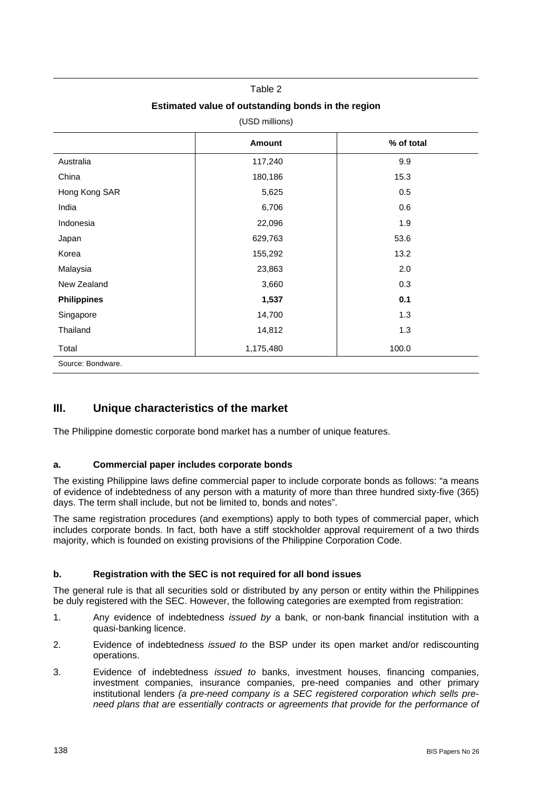# Table 2

### **Estimated value of outstanding bonds in the region**

| (USD millions)     |               |            |  |
|--------------------|---------------|------------|--|
|                    | <b>Amount</b> | % of total |  |
| Australia          | 117,240       | 9.9        |  |
| China              | 180,186       | 15.3       |  |
| Hong Kong SAR      | 5,625         | 0.5        |  |
| India              | 6,706         | 0.6        |  |
| Indonesia          | 22,096        | 1.9        |  |
| Japan              | 629,763       | 53.6       |  |
| Korea              | 155,292       | 13.2       |  |
| Malaysia           | 23,863        | 2.0        |  |
| New Zealand        | 3,660         | 0.3        |  |
| <b>Philippines</b> | 1,537         | 0.1        |  |
| Singapore          | 14,700        | 1.3        |  |
| Thailand           | 14,812        | 1.3        |  |
| Total              | 1,175,480     | 100.0      |  |
| Source: Bondware.  |               |            |  |

# **III. Unique characteristics of the market**

The Philippine domestic corporate bond market has a number of unique features.

#### **a. Commercial paper includes corporate bonds**

The existing Philippine laws define commercial paper to include corporate bonds as follows: "a means of evidence of indebtedness of any person with a maturity of more than three hundred sixty-five (365) days. The term shall include, but not be limited to, bonds and notes".

The same registration procedures (and exemptions) apply to both types of commercial paper, which includes corporate bonds. In fact, both have a stiff stockholder approval requirement of a two thirds majority, which is founded on existing provisions of the Philippine Corporation Code.

#### **b. Registration with the SEC is not required for all bond issues**

The general rule is that all securities sold or distributed by any person or entity within the Philippines be duly registered with the SEC. However, the following categories are exempted from registration:

- 1. Any evidence of indebtedness *issued by* a bank, or non-bank financial institution with a quasi-banking licence.
- 2. Evidence of indebtedness *issued to* the BSP under its open market and/or rediscounting operations.
- 3. Evidence of indebtedness *issued to* banks, investment houses, financing companies, investment companies, insurance companies, pre-need companies and other primary institutional lenders *(a pre-need company is a SEC registered corporation which sells preneed plans that are essentially contracts or agreements that provide for the performance of*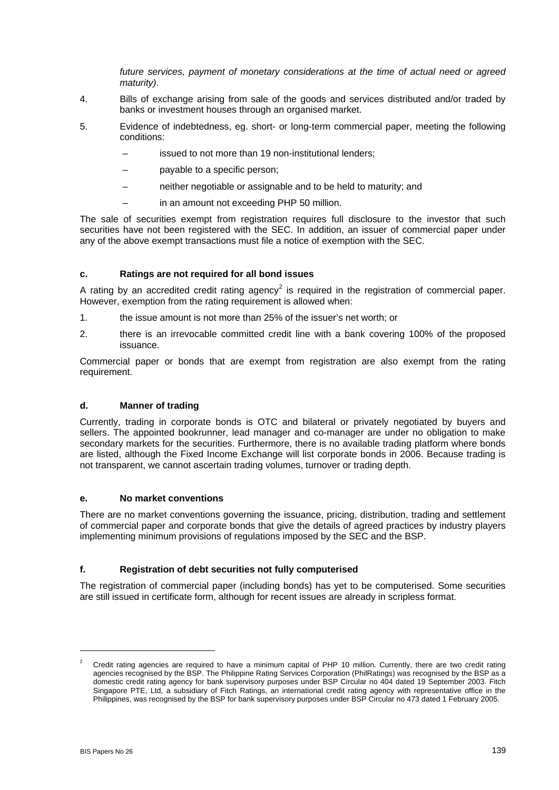*future services, payment of monetary considerations at the time of actual need or agreed maturity)*.

- 4. Bills of exchange arising from sale of the goods and services distributed and/or traded by banks or investment houses through an organised market.
- 5. Evidence of indebtedness, eg. short- or long-term commercial paper, meeting the following conditions:
	- issued to not more than 19 non-institutional lenders:
	- payable to a specific person;
	- neither negotiable or assignable and to be held to maturity; and
	- in an amount not exceeding PHP 50 million.

The sale of securities exempt from registration requires full disclosure to the investor that such securities have not been registered with the SEC. In addition, an issuer of commercial paper under any of the above exempt transactions must file a notice of exemption with the SEC.

#### **c. Ratings are not required for all bond issues**

A rating by an accredited credit rating agency<sup>[2](#page-3-0)</sup> is required in the registration of commercial paper. However, exemption from the rating requirement is allowed when:

- 1. the issue amount is not more than 25% of the issuer's net worth; or
- 2. there is an irrevocable committed credit line with a bank covering 100% of the proposed issuance.

Commercial paper or bonds that are exempt from registration are also exempt from the rating requirement.

### **d. Manner of trading**

Currently, trading in corporate bonds is OTC and bilateral or privately negotiated by buyers and sellers. The appointed bookrunner, lead manager and co-manager are under no obligation to make secondary markets for the securities. Furthermore, there is no available trading platform where bonds are listed, although the Fixed Income Exchange will list corporate bonds in 2006. Because trading is not transparent, we cannot ascertain trading volumes, turnover or trading depth.

#### **e. No market conventions**

There are no market conventions governing the issuance, pricing, distribution, trading and settlement of commercial paper and corporate bonds that give the details of agreed practices by industry players implementing minimum provisions of regulations imposed by the SEC and the BSP.

### **f. Registration of debt securities not fully computerised**

The registration of commercial paper (including bonds) has yet to be computerised. Some securities are still issued in certificate form, although for recent issues are already in scripless format.

-

<span id="page-3-0"></span><sup>2</sup> Credit rating agencies are required to have a minimum capital of PHP 10 million. Currently, there are two credit rating agencies recognised by the BSP. The Philippine Rating Services Corporation (PhilRatings) was recognised by the BSP as a domestic credit rating agency for bank supervisory purposes under BSP Circular no 404 dated 19 September 2003. Fitch Singapore PTE, Ltd, a subsidiary of Fitch Ratings, an international credit rating agency with representative office in the Philippines, was recognised by the BSP for bank supervisory purposes under BSP Circular no 473 dated 1 February 2005.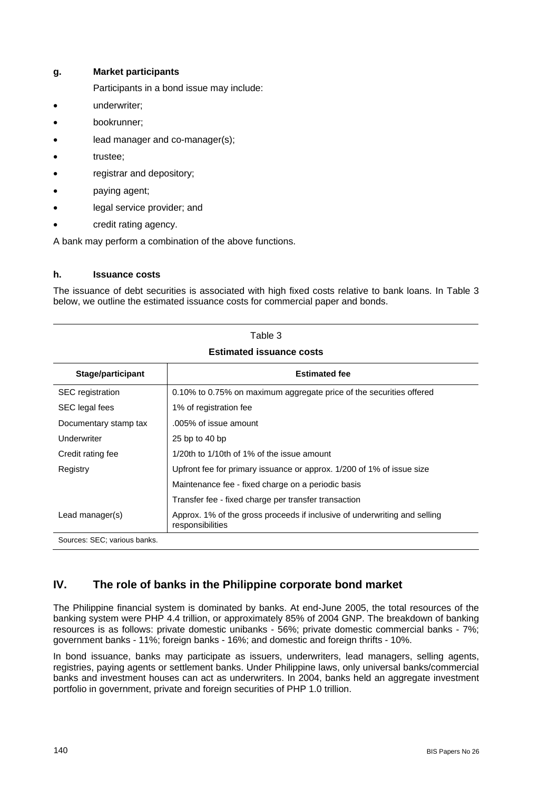### **g. Market participants**

Participants in a bond issue may include:

- underwriter;
- bookrunner;
- lead manager and co-manager(s);
- trustee;
- registrar and depository:
- paying agent;
- legal service provider; and
- credit rating agency.

A bank may perform a combination of the above functions.

#### **h. Issuance costs**

The issuance of debt securities is associated with high fixed costs relative to bank loans. In Table 3 below, we outline the estimated issuance costs for commercial paper and bonds.

| Table 3                         |                                                                                               |  |  |  |
|---------------------------------|-----------------------------------------------------------------------------------------------|--|--|--|
| <b>Estimated issuance costs</b> |                                                                                               |  |  |  |
| Stage/participant               | <b>Estimated fee</b>                                                                          |  |  |  |
| <b>SEC</b> registration         | 0.10% to 0.75% on maximum aggregate price of the securities offered                           |  |  |  |
| SEC legal fees                  | 1% of registration fee                                                                        |  |  |  |
| Documentary stamp tax           | .005% of issue amount                                                                         |  |  |  |
| Underwriter                     | $25$ bp to $40$ bp                                                                            |  |  |  |
| Credit rating fee               | 1/20th to 1/10th of 1% of the issue amount                                                    |  |  |  |
| Registry                        | Upfront fee for primary issuance or approx. 1/200 of 1% of issue size                         |  |  |  |
|                                 | Maintenance fee - fixed charge on a periodic basis                                            |  |  |  |
|                                 | Transfer fee - fixed charge per transfer transaction                                          |  |  |  |
| Lead manager(s)                 | Approx. 1% of the gross proceeds if inclusive of underwriting and selling<br>responsibilities |  |  |  |
| Sources: SEC; various banks.    |                                                                                               |  |  |  |

# **IV. The role of banks in the Philippine corporate bond market**

The Philippine financial system is dominated by banks. At end-June 2005, the total resources of the banking system were PHP 4.4 trillion, or approximately 85% of 2004 GNP. The breakdown of banking resources is as follows: private domestic unibanks - 56%; private domestic commercial banks - 7%; government banks - 11%; foreign banks - 16%; and domestic and foreign thrifts - 10%.

In bond issuance, banks may participate as issuers, underwriters, lead managers, selling agents, registries, paying agents or settlement banks. Under Philippine laws, only universal banks/commercial banks and investment houses can act as underwriters. In 2004, banks held an aggregate investment portfolio in government, private and foreign securities of PHP 1.0 trillion.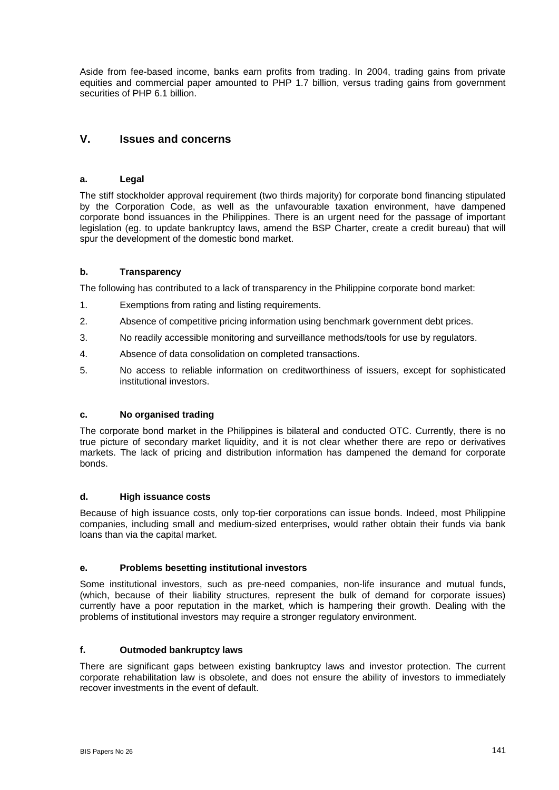Aside from fee-based income, banks earn profits from trading. In 2004, trading gains from private equities and commercial paper amounted to PHP 1.7 billion, versus trading gains from government securities of PHP 6.1 billion.

# **V. Issues and concerns**

#### **a. Legal**

The stiff stockholder approval requirement (two thirds majority) for corporate bond financing stipulated by the Corporation Code, as well as the unfavourable taxation environment, have dampened corporate bond issuances in the Philippines. There is an urgent need for the passage of important legislation (eg. to update bankruptcy laws, amend the BSP Charter, create a credit bureau) that will spur the development of the domestic bond market.

#### **b. Transparency**

The following has contributed to a lack of transparency in the Philippine corporate bond market:

- 1. Exemptions from rating and listing requirements.
- 2. Absence of competitive pricing information using benchmark government debt prices.
- 3. No readily accessible monitoring and surveillance methods/tools for use by regulators.
- 4. Absence of data consolidation on completed transactions.
- 5. No access to reliable information on creditworthiness of issuers, except for sophisticated institutional investors.

#### **c. No organised trading**

The corporate bond market in the Philippines is bilateral and conducted OTC. Currently, there is no true picture of secondary market liquidity, and it is not clear whether there are repo or derivatives markets. The lack of pricing and distribution information has dampened the demand for corporate bonds.

#### **d. High issuance costs**

Because of high issuance costs, only top-tier corporations can issue bonds. Indeed, most Philippine companies, including small and medium-sized enterprises, would rather obtain their funds via bank loans than via the capital market.

#### **e. Problems besetting institutional investors**

Some institutional investors, such as pre-need companies, non-life insurance and mutual funds, (which, because of their liability structures, represent the bulk of demand for corporate issues) currently have a poor reputation in the market, which is hampering their growth. Dealing with the problems of institutional investors may require a stronger regulatory environment.

#### **f. Outmoded bankruptcy laws**

There are significant gaps between existing bankruptcy laws and investor protection. The current corporate rehabilitation law is obsolete, and does not ensure the ability of investors to immediately recover investments in the event of default.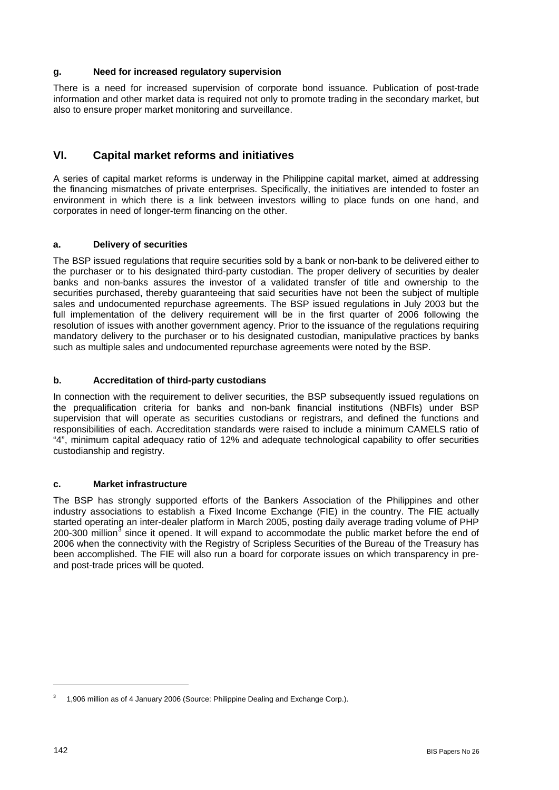#### **g. Need for increased regulatory supervision**

There is a need for increased supervision of corporate bond issuance. Publication of post-trade information and other market data is required not only to promote trading in the secondary market, but also to ensure proper market monitoring and surveillance.

# **VI. Capital market reforms and initiatives**

A series of capital market reforms is underway in the Philippine capital market, aimed at addressing the financing mismatches of private enterprises. Specifically, the initiatives are intended to foster an environment in which there is a link between investors willing to place funds on one hand, and corporates in need of longer-term financing on the other.

### **a. Delivery of securities**

The BSP issued regulations that require securities sold by a bank or non-bank to be delivered either to the purchaser or to his designated third-party custodian. The proper delivery of securities by dealer banks and non-banks assures the investor of a validated transfer of title and ownership to the securities purchased, thereby guaranteeing that said securities have not been the subject of multiple sales and undocumented repurchase agreements. The BSP issued regulations in July 2003 but the full implementation of the delivery requirement will be in the first quarter of 2006 following the resolution of issues with another government agency. Prior to the issuance of the regulations requiring mandatory delivery to the purchaser or to his designated custodian, manipulative practices by banks such as multiple sales and undocumented repurchase agreements were noted by the BSP.

### **b. Accreditation of third-party custodians**

In connection with the requirement to deliver securities, the BSP subsequently issued regulations on the prequalification criteria for banks and non-bank financial institutions (NBFIs) under BSP supervision that will operate as securities custodians or registrars, and defined the functions and responsibilities of each. Accreditation standards were raised to include a minimum CAMELS ratio of "4", minimum capital adequacy ratio of 12% and adequate technological capability to offer securities custodianship and registry.

### **c. Market infrastructure**

The BSP has strongly supported efforts of the Bankers Association of the Philippines and other industry associations to establish a Fixed Income Exchange (FIE) in the country. The FIE actually started operating an inter-dealer platform in March 2005, posting daily average trading volume of PHP 200-[3](#page-6-0)00 million<sup>3</sup> since it opened. It will expand to accommodate the public market before the end of 2006 when the connectivity with the Registry of Scripless Securities of the Bureau of the Treasury has been accomplished. The FIE will also run a board for corporate issues on which transparency in preand post-trade prices will be quoted.

l

<span id="page-6-0"></span><sup>3</sup> 1,906 million as of 4 January 2006 (Source: Philippine Dealing and Exchange Corp.).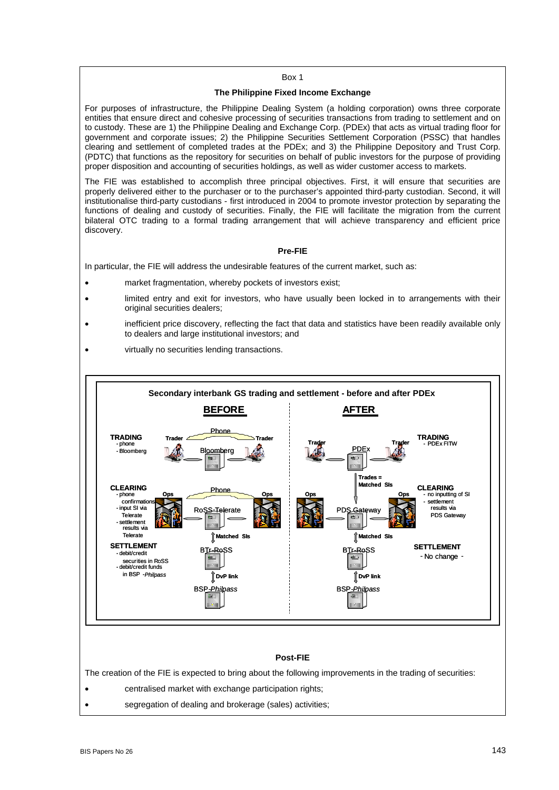#### Box 1

#### **The Philippine Fixed Income Exchange**

For purposes of infrastructure, the Philippine Dealing System (a holding corporation) owns three corporate entities that ensure direct and cohesive processing of securities transactions from trading to settlement and on to custody. These are 1) the Philippine Dealing and Exchange Corp. (PDEx) that acts as virtual trading floor for government and corporate issues; 2) the Philippine Securities Settlement Corporation (PSSC) that handles clearing and settlement of completed trades at the PDEx; and 3) the Philippine Depository and Trust Corp. (PDTC) that functions as the repository for securities on behalf of public investors for the purpose of providing proper disposition and accounting of securities holdings, as well as wider customer access to markets.

The FIE was established to accomplish three principal objectives. First, it will ensure that securities are properly delivered either to the purchaser or to the purchaser's appointed third-party custodian. Second, it will institutionalise third-party custodians - first introduced in 2004 to promote investor protection by separating the functions of dealing and custody of securities. Finally, the FIE will facilitate the migration from the current bilateral OTC trading to a formal trading arrangement that will achieve transparency and efficient price discovery.

#### **Pre-FIE**

In particular, the FIE will address the undesirable features of the current market, such as:

- market fragmentation, whereby pockets of investors exist;
- limited entry and exit for investors, who have usually been locked in to arrangements with their original securities dealers;
- inefficient price discovery, reflecting the fact that data and statistics have been readily available only to dealers and large institutional investors; and
- virtually no securities lending transactions.



- centralised market with exchange participation rights;
- segregation of dealing and brokerage (sales) activities;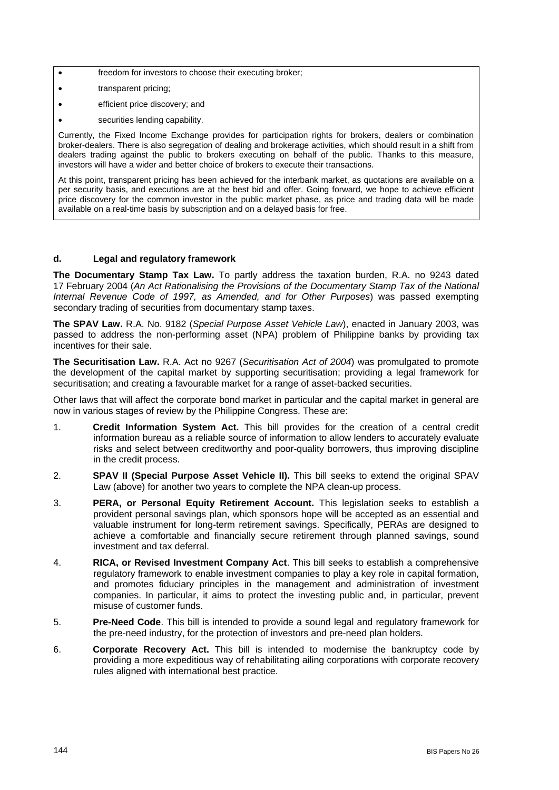- **freedom** for investors to choose their executing broker;
- **transparent pricing;**
- efficient price discovery; and
- securities lending capability.

Currently, the Fixed Income Exchange provides for participation rights for brokers, dealers or combination broker-dealers. There is also segregation of dealing and brokerage activities, which should result in a shift from dealers trading against the public to brokers executing on behalf of the public. Thanks to this measure, investors will have a wider and better choice of brokers to execute their transactions.

At this point, transparent pricing has been achieved for the interbank market, as quotations are available on a per security basis, and executions are at the best bid and offer. Going forward, we hope to achieve efficient price discovery for the common investor in the public market phase, as price and trading data will be made available on a real-time basis by subscription and on a delayed basis for free.

#### **d. Legal and regulatory framework**

**The Documentary Stamp Tax Law.** To partly address the taxation burden, R.A. no 9243 dated 17 February 2004 (*An Act Rationalising the Provisions of the Documentary Stamp Tax of the National Internal Revenue Code of 1997, as Amended, and for Other Purposes*) was passed exempting secondary trading of securities from documentary stamp taxes.

**The SPAV Law.** R.A. No. 9182 (*Special Purpose Asset Vehicle Law*), enacted in January 2003, was passed to address the non-performing asset (NPA) problem of Philippine banks by providing tax incentives for their sale.

**The Securitisation Law.** R.A. Act no 9267 (*Securitisation Act of 2004*) was promulgated to promote the development of the capital market by supporting securitisation; providing a legal framework for securitisation; and creating a favourable market for a range of asset-backed securities.

Other laws that will affect the corporate bond market in particular and the capital market in general are now in various stages of review by the Philippine Congress. These are:

- 1. **Credit Information System Act.** This bill provides for the creation of a central credit information bureau as a reliable source of information to allow lenders to accurately evaluate risks and select between creditworthy and poor-quality borrowers, thus improving discipline in the credit process.
- 2. **SPAV II (Special Purpose Asset Vehicle II).** This bill seeks to extend the original SPAV Law (above) for another two years to complete the NPA clean-up process.
- 3. **PERA, or Personal Equity Retirement Account.** This legislation seeks to establish a provident personal savings plan, which sponsors hope will be accepted as an essential and valuable instrument for long-term retirement savings. Specifically, PERAs are designed to achieve a comfortable and financially secure retirement through planned savings, sound investment and tax deferral.
- 4. **RICA, or Revised Investment Company Act**. This bill seeks to establish a comprehensive regulatory framework to enable investment companies to play a key role in capital formation, and promotes fiduciary principles in the management and administration of investment companies. In particular, it aims to protect the investing public and, in particular, prevent misuse of customer funds.
- 5. **Pre-Need Code**. This bill is intended to provide a sound legal and regulatory framework for the pre-need industry, for the protection of investors and pre-need plan holders.
- 6. **Corporate Recovery Act.** This bill is intended to modernise the bankruptcy code by providing a more expeditious way of rehabilitating ailing corporations with corporate recovery rules aligned with international best practice.